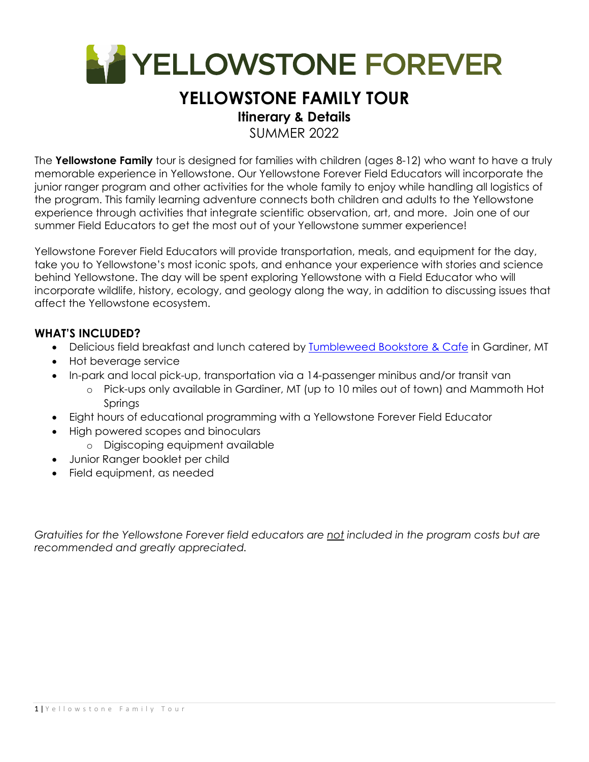

# **YELLOWSTONE FAMILY TOUR**

# **Itinerary & Details**

SUMMER 2022

The **Yellowstone Family** tour is designed for families with children (ages 8-12) who want to have a truly memorable experience in Yellowstone. Our Yellowstone Forever Field Educators will incorporate the junior ranger program and other activities for the whole family to enjoy while handling all logistics of the program. This family learning adventure connects both children and adults to the Yellowstone experience through activities that integrate scientific observation, art, and more. Join one of our summer Field Educators to get the most out of your Yellowstone summer experience!

Yellowstone Forever Field Educators will provide transportation, meals, and equipment for the day, take you to Yellowstone's most iconic spots, and enhance your experience with stories and science behind Yellowstone. The day will be spent exploring Yellowstone with a Field Educator who will incorporate wildlife, history, ecology, and geology along the way, in addition to discussing issues that affect the Yellowstone ecosystem.

### **WHAT'S INCLUDED?**

- Delicious field breakfast and lunch catered by Tumbleweed Bookstore & Cafe in Gardiner, MT
- Hot beverage service
- In-park and local pick-up, transportation via a 14-passenger minibus and/or transit van
	- o Pick-ups only available in Gardiner, MT (up to 10 miles out of town) and Mammoth Hot **Springs**
- Eight hours of educational programming with a Yellowstone Forever Field Educator
- High powered scopes and binoculars
	- o Digiscoping equipment available
- Junior Ranger booklet per child
- Field equipment, as needed

*Gratuities for the Yellowstone Forever field educators are not included in the program costs but are recommended and greatly appreciated.*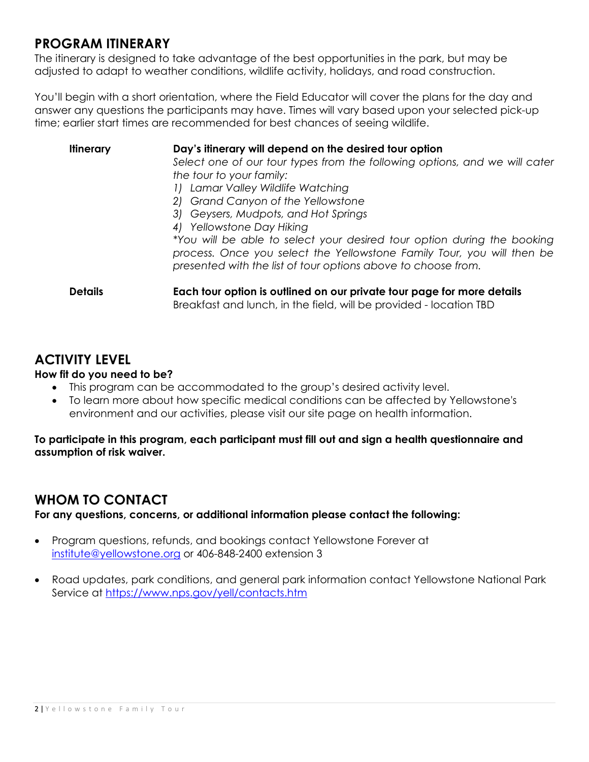## **PROGRAM ITINERARY**

The itinerary is designed to take advantage of the best opportunities in the park, but may be adjusted to adapt to weather conditions, wildlife activity, holidays, and road construction.

You'll begin with a short orientation, where the Field Educator will cover the plans for the day and answer any questions the participants may have. Times will vary based upon your selected pick-up time; earlier start times are recommended for best chances of seeing wildlife.

**Itinerary Day's itinerary will depend on the desired tour option**  *Select one of our tour types from the following options, and we will cater the tour to your family: 1) Lamar Valley Wildlife Watching 2) Grand Canyon of the Yellowstone 3) Geysers, Mudpots, and Hot Springs 4) Yellowstone Day Hiking \*You will be able to select your desired tour option during the booking process. Once you select the Yellowstone Family Tour, you will then be presented with the list of tour options above to choose from.*  **Details Each tour option is outlined on our private tour page for more details** Breakfast and lunch, in the field, will be provided - location TBD

### **ACTIVITY LEVEL**

#### **How fit do you need to be?**

- This program can be accommodated to the group's desired activity level.
- To learn more about how specific medical conditions can be affected by Yellowstone's environment and our activities, please visit our site page on health information.

**To participate in this program, each participant must fill out and sign a health questionnaire and assumption of risk waiver.** 

### **WHOM TO CONTACT**

**For any questions, concerns, or additional information please contact the following:** 

- Program questions, refunds, and bookings contact Yellowstone Forever at institute@yellowstone.org or 406-848-2400 extension 3
- Road updates, park conditions, and general park information contact Yellowstone National Park Service at https://www.nps.gov/yell/contacts.htm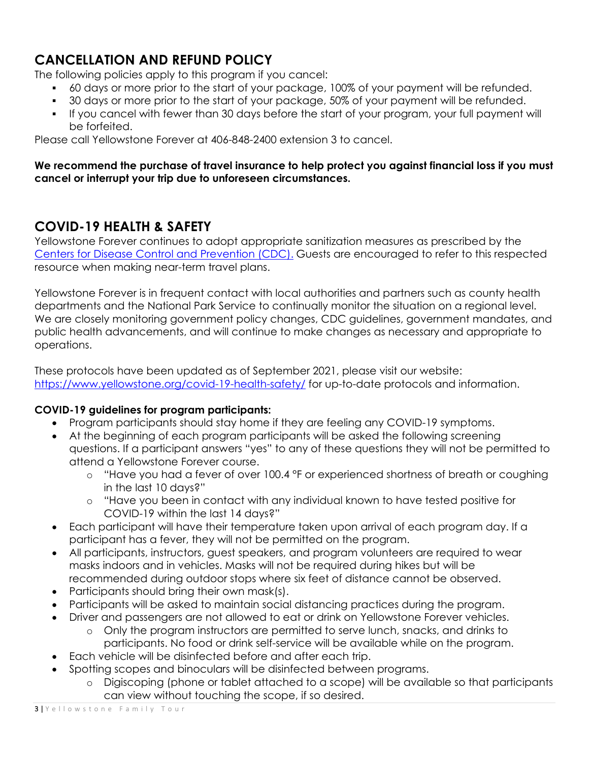# **CANCELLATION AND REFUND POLICY**

The following policies apply to this program if you cancel:

- 60 days or more prior to the start of your package, 100% of your payment will be refunded.
- 30 days or more prior to the start of your package, 50% of your payment will be refunded.
- If you cancel with fewer than 30 days before the start of your program, your full payment will be forfeited.

Please call Yellowstone Forever at 406-848-2400 extension 3 to cancel.

#### **We recommend the purchase of travel insurance to help protect you against financial loss if you must cancel or interrupt your trip due to unforeseen circumstances.**

# **COVID-19 HEALTH & SAFETY**

Yellowstone Forever continues to adopt appropriate sanitization measures as prescribed by the Centers for Disease Control and Prevention (CDC). Guests are encouraged to refer to this respected resource when making near-term travel plans.

Yellowstone Forever is in frequent contact with local authorities and partners such as county health departments and the National Park Service to continually monitor the situation on a regional level. We are closely monitoring government policy changes, CDC guidelines, government mandates, and public health advancements, and will continue to make changes as necessary and appropriate to operations.

These protocols have been updated as of September 2021, please visit our website: https://www.yellowstone.org/covid-19-health-safety/ for up-to-date protocols and information.

### **COVID-19 guidelines for program participants:**

- Program participants should stay home if they are feeling any COVID-19 symptoms.
- At the beginning of each program participants will be asked the following screening questions. If a participant answers "yes" to any of these questions they will not be permitted to attend a Yellowstone Forever course.
	- o "Have you had a fever of over 100.4 °F or experienced shortness of breath or coughing in the last 10 days?"
	- o "Have you been in contact with any individual known to have tested positive for COVID-19 within the last 14 days?"
- Each participant will have their temperature taken upon arrival of each program day. If a participant has a fever, they will not be permitted on the program.
- All participants, instructors, guest speakers, and program volunteers are required to wear masks indoors and in vehicles. Masks will not be required during hikes but will be recommended during outdoor stops where six feet of distance cannot be observed.
- Participants should bring their own mask(s).
- Participants will be asked to maintain social distancing practices during the program.
	- Driver and passengers are not allowed to eat or drink on Yellowstone Forever vehicles.
		- o Only the program instructors are permitted to serve lunch, snacks, and drinks to participants. No food or drink self-service will be available while on the program.
- Each vehicle will be disinfected before and after each trip.
- Spotting scopes and binoculars will be disinfected between programs.
	- o Digiscoping (phone or tablet attached to a scope) will be available so that participants can view without touching the scope, if so desired.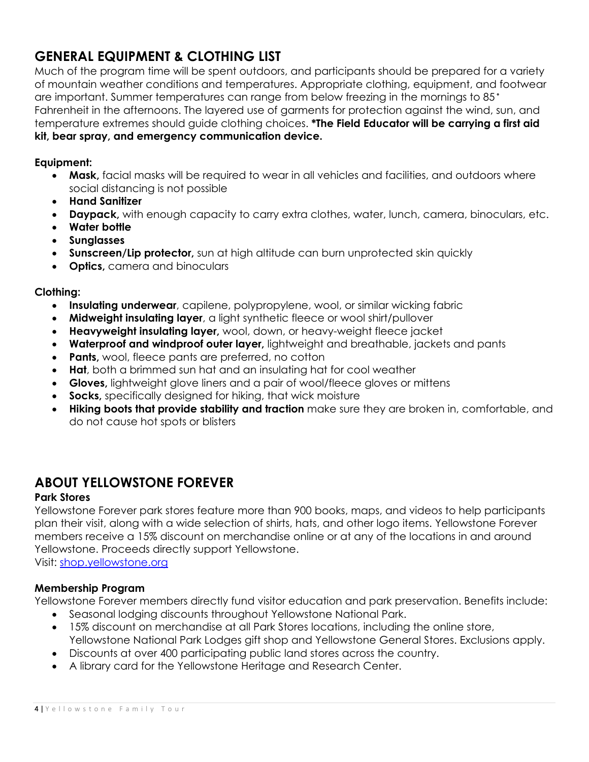# **GENERAL EQUIPMENT & CLOTHING LIST**

Much of the program time will be spent outdoors, and participants should be prepared for a variety of mountain weather conditions and temperatures. Appropriate clothing, equipment, and footwear are important. Summer temperatures can range from below freezing in the mornings to 85 Fahrenheit in the afternoons. The layered use of garments for protection against the wind, sun, and temperature extremes should guide clothing choices. **\*The Field Educator will be carrying a first aid kit, bear spray, and emergency communication device.**

#### **Equipment:**

- **Mask,** facial masks will be required to wear in all vehicles and facilities, and outdoors where social distancing is not possible
- **Hand Sanitizer**
- **Daypack,** with enough capacity to carry extra clothes, water, lunch, camera, binoculars, etc.
- **Water bottle**
- **Sunglasses**
- **Sunscreen/Lip protector,** sun at high altitude can burn unprotected skin quickly
- **Optics,** camera and binoculars

#### **Clothing:**

- **Insulating underwear**, capilene, polypropylene, wool, or similar wicking fabric
- **Midweight insulating layer**, a light synthetic fleece or wool shirt/pullover
- **Heavyweight insulating layer,** wool, down, or heavy-weight fleece jacket
- **Waterproof and windproof outer layer,** lightweight and breathable, jackets and pants
- **Pants,** wool, fleece pants are preferred, no cotton
- **Hat**, both a brimmed sun hat and an insulating hat for cool weather
- **Gloves,** lightweight glove liners and a pair of wool/fleece gloves or mittens
- **Socks,** specifically designed for hiking, that wick moisture
- **Hiking boots that provide stability and traction** make sure they are broken in, comfortable, and do not cause hot spots or blisters

### **ABOUT YELLOWSTONE FOREVER**

#### **Park Stores**

Yellowstone Forever park stores feature more than 900 books, maps, and videos to help participants plan their visit, along with a wide selection of shirts, hats, and other logo items. Yellowstone Forever members receive a 15% discount on merchandise online or at any of the locations in and around Yellowstone. Proceeds directly support Yellowstone.

Visit: shop.yellowstone.org

#### **Membership Program**

Yellowstone Forever members directly fund visitor education and park preservation. Benefits include:

- Seasonal lodging discounts throughout Yellowstone National Park.
- 15% discount on merchandise at all Park Stores locations, including the online store, Yellowstone National Park Lodges gift shop and Yellowstone General Stores. Exclusions apply.
- Discounts at over 400 participating public land stores across the country.
- A library card for the Yellowstone Heritage and Research Center.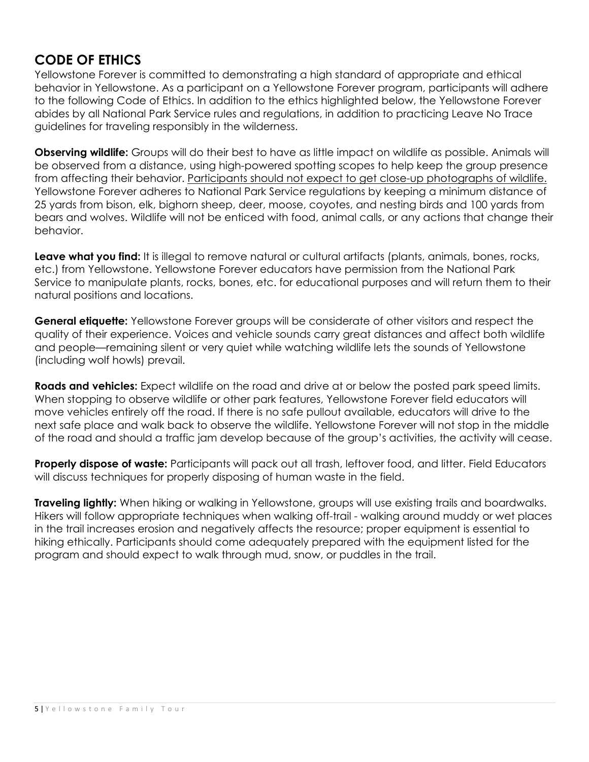## **CODE OF ETHICS**

Yellowstone Forever is committed to demonstrating a high standard of appropriate and ethical behavior in Yellowstone. As a participant on a Yellowstone Forever program, participants will adhere to the following Code of Ethics. In addition to the ethics highlighted below, the Yellowstone Forever abides by all National Park Service rules and regulations, in addition to practicing Leave No Trace guidelines for traveling responsibly in the wilderness.

**Observing wildlife:** Groups will do their best to have as little impact on wildlife as possible. Animals will be observed from a distance, using high-powered spotting scopes to help keep the group presence from affecting their behavior. Participants should not expect to get close-up photographs of wildlife. Yellowstone Forever adheres to National Park Service regulations by keeping a minimum distance of 25 yards from bison, elk, bighorn sheep, deer, moose, coyotes, and nesting birds and 100 yards from bears and wolves. Wildlife will not be enticed with food, animal calls, or any actions that change their behavior.

**Leave what you find:** It is illegal to remove natural or cultural artifacts (plants, animals, bones, rocks, etc.) from Yellowstone. Yellowstone Forever educators have permission from the National Park Service to manipulate plants, rocks, bones, etc. for educational purposes and will return them to their natural positions and locations.

**General etiquette:** Yellowstone Forever groups will be considerate of other visitors and respect the quality of their experience. Voices and vehicle sounds carry great distances and affect both wildlife and people—remaining silent or very quiet while watching wildlife lets the sounds of Yellowstone (including wolf howls) prevail.

**Roads and vehicles:** Expect wildlife on the road and drive at or below the posted park speed limits. When stopping to observe wildlife or other park features, Yellowstone Forever field educators will move vehicles entirely off the road. If there is no safe pullout available, educators will drive to the next safe place and walk back to observe the wildlife. Yellowstone Forever will not stop in the middle of the road and should a traffic jam develop because of the group's activities, the activity will cease.

**Properly dispose of waste:** Participants will pack out all trash, leftover food, and litter. Field Educators will discuss techniques for properly disposing of human waste in the field.

**Traveling lightly:** When hiking or walking in Yellowstone, groups will use existing trails and boardwalks. Hikers will follow appropriate techniques when walking off-trail - walking around muddy or wet places in the trail increases erosion and negatively affects the resource; proper equipment is essential to hiking ethically. Participants should come adequately prepared with the equipment listed for the program and should expect to walk through mud, snow, or puddles in the trail.